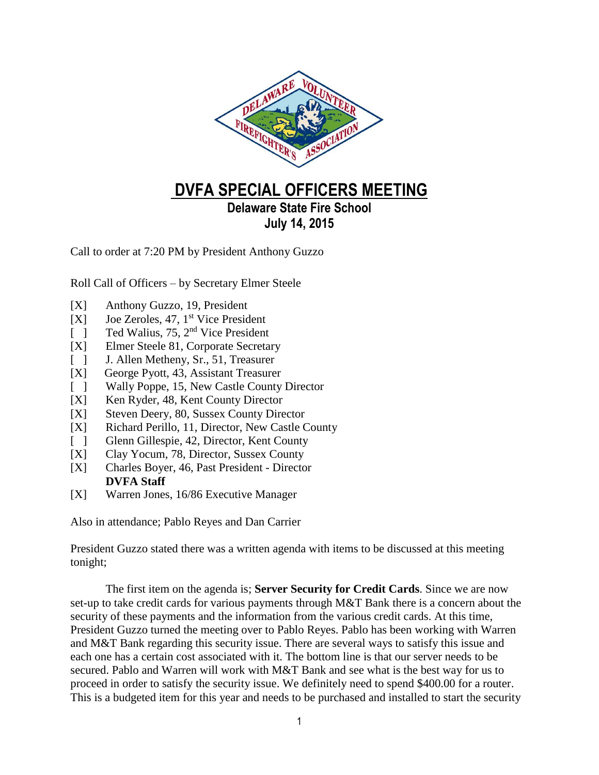

## **DVFA SPECIAL OFFICERS MEETING**

## **Delaware State Fire School July 14, 2015**

Call to order at 7:20 PM by President Anthony Guzzo

Roll Call of Officers – by Secretary Elmer Steele

- [X] Anthony Guzzo, 19, President
- [X] Joe Zeroles, 47, 1<sup>st</sup> Vice President
- [ ] Ted Walius, 75, 2<sup>nd</sup> Vice President
- [X] Elmer Steele 81, Corporate Secretary
- [ ] J. Allen Metheny, Sr., 51, Treasurer
- [X] George Pyott, 43, Assistant Treasurer
- [ ] Wally Poppe, 15, New Castle County Director
- [X] Ken Ryder, 48, Kent County Director
- [X] Steven Deery, 80, Sussex County Director
- [X] Richard Perillo, 11, Director, New Castle County
- [ ] Glenn Gillespie, 42, Director, Kent County
- [X] Clay Yocum, 78, Director, Sussex County
- [X] Charles Boyer, 46, Past President Director **DVFA Staff**
- [X] Warren Jones, 16/86 Executive Manager

Also in attendance; Pablo Reyes and Dan Carrier

President Guzzo stated there was a written agenda with items to be discussed at this meeting tonight;

The first item on the agenda is; **Server Security for Credit Cards**. Since we are now set-up to take credit cards for various payments through M&T Bank there is a concern about the security of these payments and the information from the various credit cards. At this time, President Guzzo turned the meeting over to Pablo Reyes. Pablo has been working with Warren and M&T Bank regarding this security issue. There are several ways to satisfy this issue and each one has a certain cost associated with it. The bottom line is that our server needs to be secured. Pablo and Warren will work with M&T Bank and see what is the best way for us to proceed in order to satisfy the security issue. We definitely need to spend \$400.00 for a router. This is a budgeted item for this year and needs to be purchased and installed to start the security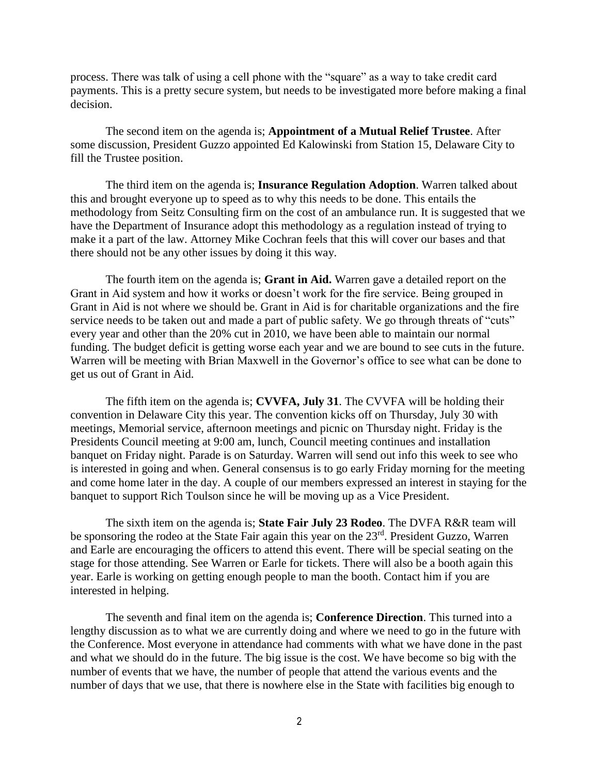process. There was talk of using a cell phone with the "square" as a way to take credit card payments. This is a pretty secure system, but needs to be investigated more before making a final decision.

The second item on the agenda is; **Appointment of a Mutual Relief Trustee**. After some discussion, President Guzzo appointed Ed Kalowinski from Station 15, Delaware City to fill the Trustee position.

The third item on the agenda is; **Insurance Regulation Adoption**. Warren talked about this and brought everyone up to speed as to why this needs to be done. This entails the methodology from Seitz Consulting firm on the cost of an ambulance run. It is suggested that we have the Department of Insurance adopt this methodology as a regulation instead of trying to make it a part of the law. Attorney Mike Cochran feels that this will cover our bases and that there should not be any other issues by doing it this way.

The fourth item on the agenda is; **Grant in Aid.** Warren gave a detailed report on the Grant in Aid system and how it works or doesn't work for the fire service. Being grouped in Grant in Aid is not where we should be. Grant in Aid is for charitable organizations and the fire service needs to be taken out and made a part of public safety. We go through threats of "cuts" every year and other than the 20% cut in 2010, we have been able to maintain our normal funding. The budget deficit is getting worse each year and we are bound to see cuts in the future. Warren will be meeting with Brian Maxwell in the Governor's office to see what can be done to get us out of Grant in Aid.

The fifth item on the agenda is; **CVVFA, July 31**. The CVVFA will be holding their convention in Delaware City this year. The convention kicks off on Thursday, July 30 with meetings, Memorial service, afternoon meetings and picnic on Thursday night. Friday is the Presidents Council meeting at 9:00 am, lunch, Council meeting continues and installation banquet on Friday night. Parade is on Saturday. Warren will send out info this week to see who is interested in going and when. General consensus is to go early Friday morning for the meeting and come home later in the day. A couple of our members expressed an interest in staying for the banquet to support Rich Toulson since he will be moving up as a Vice President.

The sixth item on the agenda is; **State Fair July 23 Rodeo**. The DVFA R&R team will be sponsoring the rodeo at the State Fair again this year on the 23<sup>rd</sup>. President Guzzo, Warren and Earle are encouraging the officers to attend this event. There will be special seating on the stage for those attending. See Warren or Earle for tickets. There will also be a booth again this year. Earle is working on getting enough people to man the booth. Contact him if you are interested in helping.

The seventh and final item on the agenda is; **Conference Direction**. This turned into a lengthy discussion as to what we are currently doing and where we need to go in the future with the Conference. Most everyone in attendance had comments with what we have done in the past and what we should do in the future. The big issue is the cost. We have become so big with the number of events that we have, the number of people that attend the various events and the number of days that we use, that there is nowhere else in the State with facilities big enough to